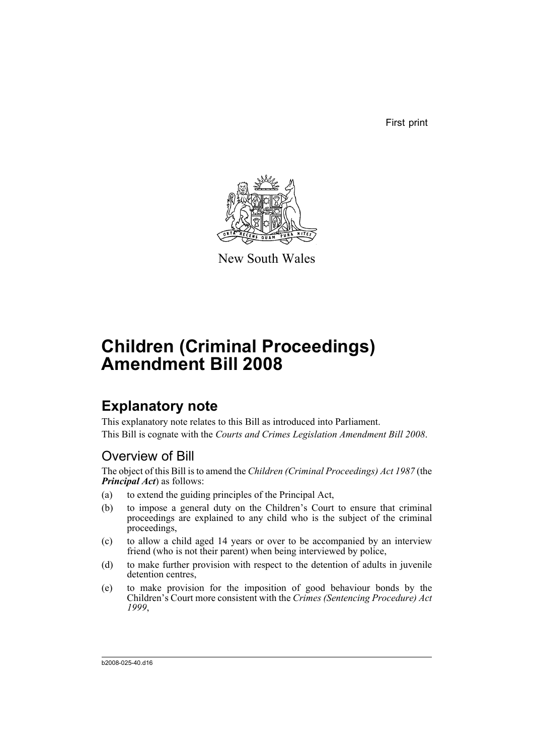First print



New South Wales

# **Children (Criminal Proceedings) Amendment Bill 2008**

# **Explanatory note**

This explanatory note relates to this Bill as introduced into Parliament. This Bill is cognate with the *Courts and Crimes Legislation Amendment Bill 2008*.

# Overview of Bill

The object of this Bill is to amend the *Children (Criminal Proceedings) Act 1987* (the *Principal Act*) as follows:

- (a) to extend the guiding principles of the Principal Act,
- (b) to impose a general duty on the Children's Court to ensure that criminal proceedings are explained to any child who is the subject of the criminal proceedings,
- (c) to allow a child aged 14 years or over to be accompanied by an interview friend (who is not their parent) when being interviewed by police,
- (d) to make further provision with respect to the detention of adults in juvenile detention centres.
- (e) to make provision for the imposition of good behaviour bonds by the Children's Court more consistent with the *Crimes (Sentencing Procedure) Act 1999*,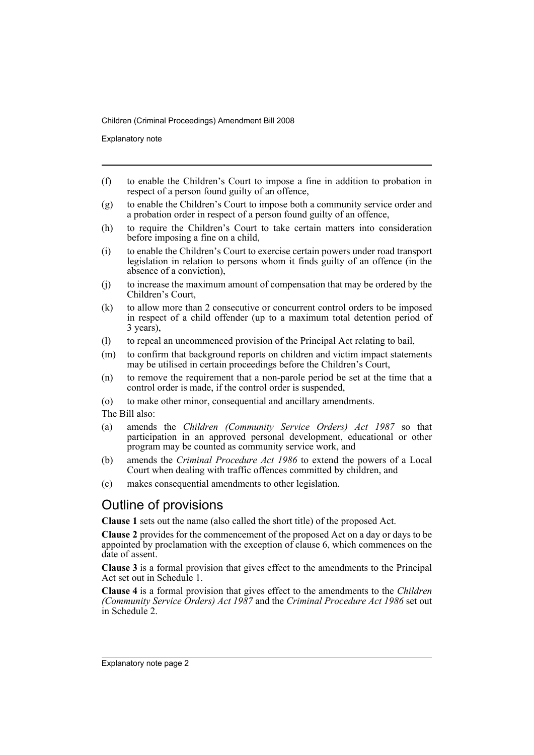Explanatory note

- (f) to enable the Children's Court to impose a fine in addition to probation in respect of a person found guilty of an offence,
- (g) to enable the Children's Court to impose both a community service order and a probation order in respect of a person found guilty of an offence,
- (h) to require the Children's Court to take certain matters into consideration before imposing a fine on a child,
- (i) to enable the Children's Court to exercise certain powers under road transport legislation in relation to persons whom it finds guilty of an offence (in the absence of a conviction),
- (j) to increase the maximum amount of compensation that may be ordered by the Children's Court,
- (k) to allow more than 2 consecutive or concurrent control orders to be imposed in respect of a child offender (up to a maximum total detention period of 3 years),
- (l) to repeal an uncommenced provision of the Principal Act relating to bail,
- (m) to confirm that background reports on children and victim impact statements may be utilised in certain proceedings before the Children's Court,
- (n) to remove the requirement that a non-parole period be set at the time that a control order is made, if the control order is suspended,
- (o) to make other minor, consequential and ancillary amendments.

The Bill also:

- (a) amends the *Children (Community Service Orders) Act 1987* so that participation in an approved personal development, educational or other program may be counted as community service work, and
- (b) amends the *Criminal Procedure Act 1986* to extend the powers of a Local Court when dealing with traffic offences committed by children, and
- (c) makes consequential amendments to other legislation.

# Outline of provisions

**Clause 1** sets out the name (also called the short title) of the proposed Act.

**Clause 2** provides for the commencement of the proposed Act on a day or days to be appointed by proclamation with the exception of clause 6, which commences on the date of assent.

**Clause 3** is a formal provision that gives effect to the amendments to the Principal Act set out in Schedule 1.

**Clause 4** is a formal provision that gives effect to the amendments to the *Children (Community Service Orders) Act 1987* and the *Criminal Procedure Act 1986* set out in Schedule 2.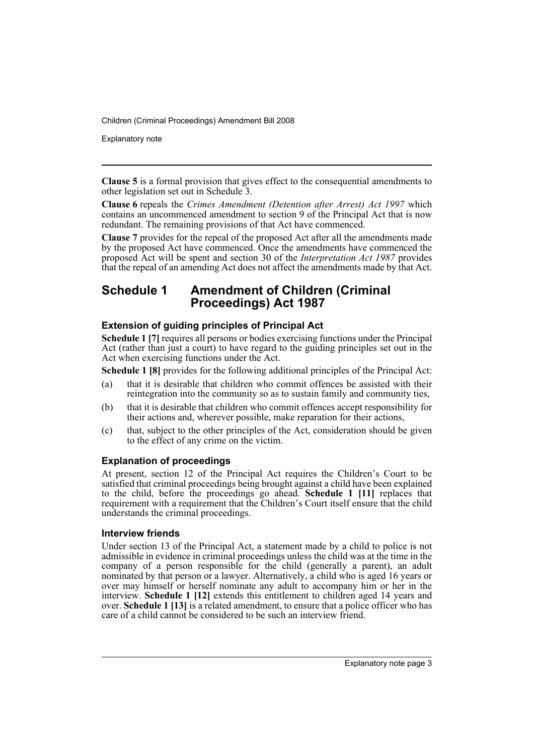Explanatory note

**Clause 5** is a formal provision that gives effect to the consequential amendments to other legislation set out in Schedule 3.

**Clause 6** repeals the *Crimes Amendment (Detention after Arrest) Act 1997* which contains an uncommenced amendment to section 9 of the Principal Act that is now redundant. The remaining provisions of that Act have commenced.

**Clause 7** provides for the repeal of the proposed Act after all the amendments made by the proposed Act have commenced. Once the amendments have commenced the proposed Act will be spent and section 30 of the *Interpretation Act 1987* provides that the repeal of an amending Act does not affect the amendments made by that Act.

# **Schedule 1 Amendment of Children (Criminal Proceedings) Act 1987**

## **Extension of guiding principles of Principal Act**

**Schedule 1 [7]** requires all persons or bodies exercising functions under the Principal Act (rather than just a court) to have regard to the guiding principles set out in the Act when exercising functions under the Act.

**Schedule 1 [8]** provides for the following additional principles of the Principal Act:

- (a) that it is desirable that children who commit offences be assisted with their reintegration into the community so as to sustain family and community ties,
- (b) that it is desirable that children who commit offences accept responsibility for their actions and, wherever possible, make reparation for their actions,
- (c) that, subject to the other principles of the Act, consideration should be given to the effect of any crime on the victim.

## **Explanation of proceedings**

At present, section 12 of the Principal Act requires the Children's Court to be satisfied that criminal proceedings being brought against a child have been explained to the child, before the proceedings go ahead. **Schedule 1 [11]** replaces that requirement with a requirement that the Children's Court itself ensure that the child understands the criminal proceedings.

### **Interview friends**

Under section 13 of the Principal Act, a statement made by a child to police is not admissible in evidence in criminal proceedings unless the child was at the time in the company of a person responsible for the child (generally a parent), an adult nominated by that person or a lawyer. Alternatively, a child who is aged 16 years or over may himself or herself nominate any adult to accompany him or her in the interview. **Schedule 1 [12]** extends this entitlement to children aged 14 years and over. **Schedule 1 [13]** is a related amendment, to ensure that a police officer who has care of a child cannot be considered to be such an interview friend.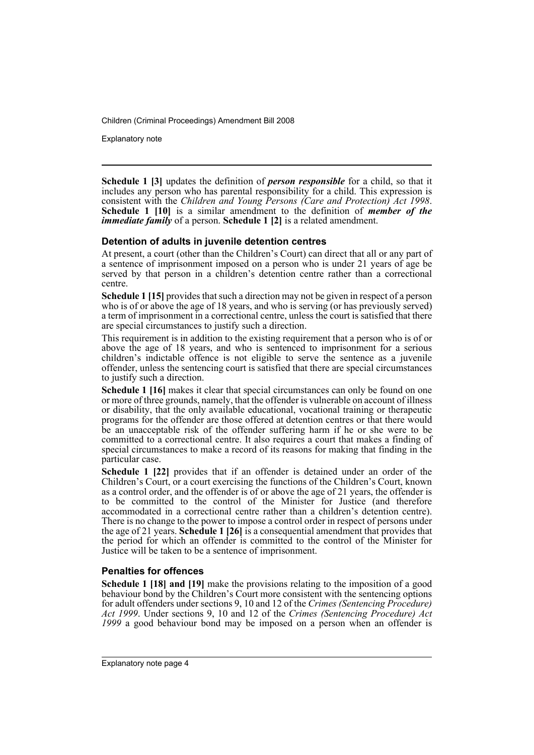Explanatory note

**Schedule 1 [3]** updates the definition of *person responsible* for a child, so that it includes any person who has parental responsibility for a child. This expression is consistent with the *Children and Young Persons (Care and Protection) Act 1998*. **Schedule 1 [10]** is a similar amendment to the definition of *member of the immediate family* of a person. **Schedule 1 [2]** is a related amendment.

#### **Detention of adults in juvenile detention centres**

At present, a court (other than the Children's Court) can direct that all or any part of a sentence of imprisonment imposed on a person who is under 21 years of age be served by that person in a children's detention centre rather than a correctional centre.

**Schedule 1 [15]** provides that such a direction may not be given in respect of a person who is of or above the age of 18 years, and who is serving (or has previously served) a term of imprisonment in a correctional centre, unless the court is satisfied that there are special circumstances to justify such a direction.

This requirement is in addition to the existing requirement that a person who is of or above the age of 18 years, and who is sentenced to imprisonment for a serious children's indictable offence is not eligible to serve the sentence as a juvenile offender, unless the sentencing court is satisfied that there are special circumstances to justify such a direction.

**Schedule 1 [16]** makes it clear that special circumstances can only be found on one or more of three grounds, namely, that the offender is vulnerable on account of illness or disability, that the only available educational, vocational training or therapeutic programs for the offender are those offered at detention centres or that there would be an unacceptable risk of the offender suffering harm if he or she were to be committed to a correctional centre. It also requires a court that makes a finding of special circumstances to make a record of its reasons for making that finding in the particular case.

**Schedule 1 [22]** provides that if an offender is detained under an order of the Children's Court, or a court exercising the functions of the Children's Court, known as a control order, and the offender is of or above the age of 21 years, the offender is to be committed to the control of the Minister for Justice (and therefore accommodated in a correctional centre rather than a children's detention centre). There is no change to the power to impose a control order in respect of persons under the age of 21 years. **Schedule 1 [26]** is a consequential amendment that provides that the period for which an offender is committed to the control of the Minister for Justice will be taken to be a sentence of imprisonment.

### **Penalties for offences**

**Schedule 1 [18] and [19]** make the provisions relating to the imposition of a good behaviour bond by the Children's Court more consistent with the sentencing options for adult offenders under sections 9, 10 and 12 of the *Crimes (Sentencing Procedure) Act 1999*. Under sections 9, 10 and 12 of the *Crimes (Sentencing Procedure) Act 1999* a good behaviour bond may be imposed on a person when an offender is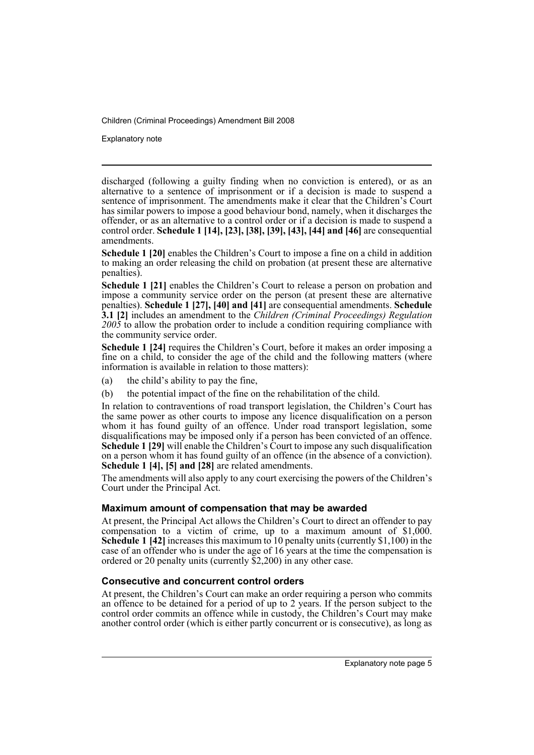Explanatory note

discharged (following a guilty finding when no conviction is entered), or as an alternative to a sentence of imprisonment or if a decision is made to suspend a sentence of imprisonment. The amendments make it clear that the Children's Court has similar powers to impose a good behaviour bond, namely, when it discharges the offender, or as an alternative to a control order or if a decision is made to suspend a control order. **Schedule 1 [14], [23], [38], [39], [43], [44] and [46]** are consequential amendments.

**Schedule 1 [20]** enables the Children's Court to impose a fine on a child in addition to making an order releasing the child on probation (at present these are alternative penalties).

**Schedule 1 [21]** enables the Children's Court to release a person on probation and impose a community service order on the person (at present these are alternative penalties). **Schedule 1 [27], [40] and [41]** are consequential amendments. **Schedule 3.1 [2]** includes an amendment to the *Children (Criminal Proceedings) Regulation 2005* to allow the probation order to include a condition requiring compliance with the community service order.

**Schedule 1 [24]** requires the Children's Court, before it makes an order imposing a fine on a child, to consider the age of the child and the following matters (where information is available in relation to those matters):

- (a) the child's ability to pay the fine,
- (b) the potential impact of the fine on the rehabilitation of the child.

In relation to contraventions of road transport legislation, the Children's Court has the same power as other courts to impose any licence disqualification on a person whom it has found guilty of an offence. Under road transport legislation, some disqualifications may be imposed only if a person has been convicted of an offence. **Schedule 1 [29]** will enable the Children's Court to impose any such disqualification on a person whom it has found guilty of an offence (in the absence of a conviction). **Schedule 1 [4], [5] and [28]** are related amendments.

The amendments will also apply to any court exercising the powers of the Children's Court under the Principal Act.

### **Maximum amount of compensation that may be awarded**

At present, the Principal Act allows the Children's Court to direct an offender to pay compensation to a victim of crime, up to a maximum amount of \$1,000. **Schedule 1 [42]** increases this maximum to 10 penalty units (currently \$1,100) in the case of an offender who is under the age of 16 years at the time the compensation is ordered or 20 penalty units (currently \$2,200) in any other case.

## **Consecutive and concurrent control orders**

At present, the Children's Court can make an order requiring a person who commits an offence to be detained for a period of up to 2 years. If the person subject to the control order commits an offence while in custody, the Children's Court may make another control order (which is either partly concurrent or is consecutive), as long as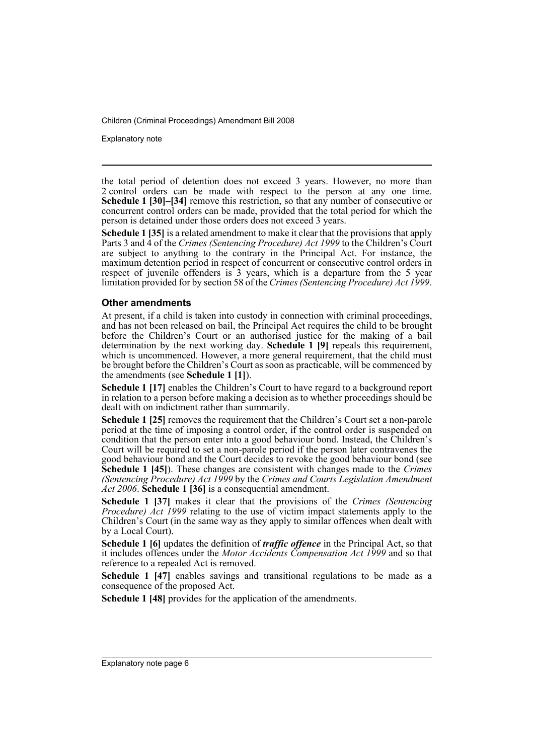Explanatory note

the total period of detention does not exceed 3 years. However, no more than 2 control orders can be made with respect to the person at any one time. **Schedule 1 [30]–[34]** remove this restriction, so that any number of consecutive or concurrent control orders can be made, provided that the total period for which the person is detained under those orders does not exceed 3 years.

**Schedule 1 [35]** is a related amendment to make it clear that the provisions that apply Parts 3 and 4 of the *Crimes (Sentencing Procedure) Act 1999* to the Children's Court are subject to anything to the contrary in the Principal Act. For instance, the maximum detention period in respect of concurrent or consecutive control orders in respect of juvenile offenders is 3 years, which is a departure from the 5 year limitation provided for by section 58 of the *Crimes (Sentencing Procedure) Act 1999*.

#### **Other amendments**

At present, if a child is taken into custody in connection with criminal proceedings, and has not been released on bail, the Principal Act requires the child to be brought before the Children's Court or an authorised justice for the making of a bail determination by the next working day. **Schedule 1 [9]** repeals this requirement, which is uncommenced. However, a more general requirement, that the child must be brought before the Children's Court as soon as practicable, will be commenced by the amendments (see **Schedule 1 [1]**).

**Schedule 1 [17]** enables the Children's Court to have regard to a background report in relation to a person before making a decision as to whether proceedings should be dealt with on indictment rather than summarily.

**Schedule 1 [25]** removes the requirement that the Children's Court set a non-parole period at the time of imposing a control order, if the control order is suspended on condition that the person enter into a good behaviour bond. Instead, the Children's Court will be required to set a non-parole period if the person later contravenes the good behaviour bond and the Court decides to revoke the good behaviour bond (see **Schedule 1 [45]**). These changes are consistent with changes made to the *Crimes (Sentencing Procedure) Act 1999* by the *Crimes and Courts Legislation Amendment Act 2006*. **Schedule 1 [36]** is a consequential amendment.

**Schedule 1 [37]** makes it clear that the provisions of the *Crimes (Sentencing Procedure) Act 1999* relating to the use of victim impact statements apply to the Children's Court (in the same way as they apply to similar offences when dealt with by a Local Court).

**Schedule 1 [6]** updates the definition of *traffic offence* in the Principal Act, so that it includes offences under the *Motor Accidents Compensation Act 1999* and so that reference to a repealed Act is removed.

**Schedule 1 [47]** enables savings and transitional regulations to be made as a consequence of the proposed Act.

**Schedule 1 [48]** provides for the application of the amendments.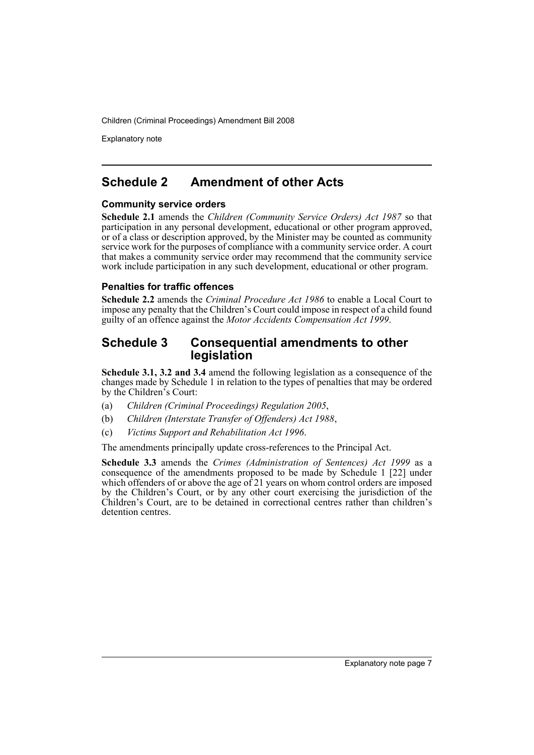Explanatory note

# **Schedule 2 Amendment of other Acts**

#### **Community service orders**

**Schedule 2.1** amends the *Children (Community Service Orders) Act 1987* so that participation in any personal development, educational or other program approved, or of a class or description approved, by the Minister may be counted as community service work for the purposes of compliance with a community service order. A court that makes a community service order may recommend that the community service work include participation in any such development, educational or other program.

#### **Penalties for traffic offences**

**Schedule 2.2** amends the *Criminal Procedure Act 1986* to enable a Local Court to impose any penalty that the Children's Court could impose in respect of a child found guilty of an offence against the *Motor Accidents Compensation Act 1999*.

# **Schedule 3 Consequential amendments to other legislation**

**Schedule 3.1, 3.2 and 3.4** amend the following legislation as a consequence of the changes made by Schedule 1 in relation to the types of penalties that may be ordered by the Children's Court:

- (a) *Children (Criminal Proceedings) Regulation 2005*,
- (b) *Children (Interstate Transfer of Offenders) Act 1988*,
- (c) *Victims Support and Rehabilitation Act 1996*.

The amendments principally update cross-references to the Principal Act.

**Schedule 3.3** amends the *Crimes (Administration of Sentences) Act 1999* as a consequence of the amendments proposed to be made by Schedule 1 [22] under which offenders of or above the age of 21 years on whom control orders are imposed by the Children's Court, or by any other court exercising the jurisdiction of the Children's Court, are to be detained in correctional centres rather than children's detention centres.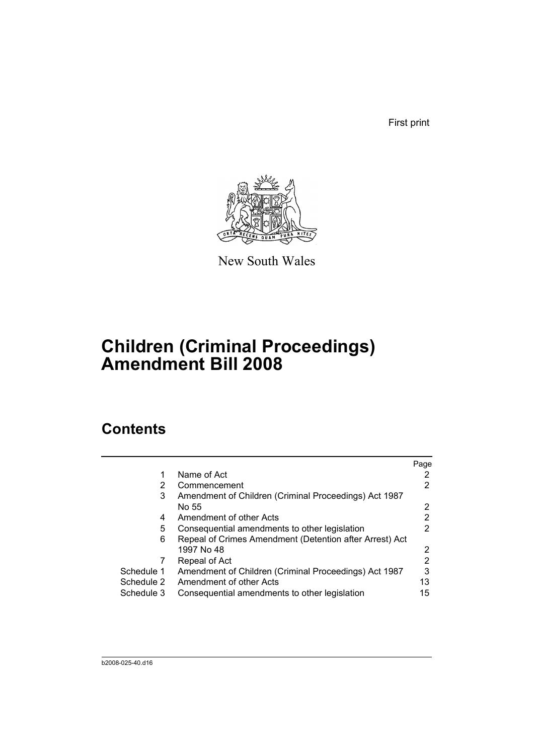First print



New South Wales

# **Children (Criminal Proceedings) Amendment Bill 2008**

# **Contents**

|            |                                                         | Page |
|------------|---------------------------------------------------------|------|
|            | Name of Act                                             |      |
| 2          | Commencement                                            | 2    |
| 3          | Amendment of Children (Criminal Proceedings) Act 1987   |      |
|            | No 55                                                   | 2    |
| 4          | Amendment of other Acts                                 | 2    |
| 5          | Consequential amendments to other legislation           | 2    |
| 6          | Repeal of Crimes Amendment (Detention after Arrest) Act |      |
|            | 1997 No 48                                              | 2    |
|            | Repeal of Act                                           | 2    |
| Schedule 1 | Amendment of Children (Criminal Proceedings) Act 1987   | 3    |
| Schedule 2 | Amendment of other Acts                                 | 13   |
| Schedule 3 | Consequential amendments to other legislation           | 15   |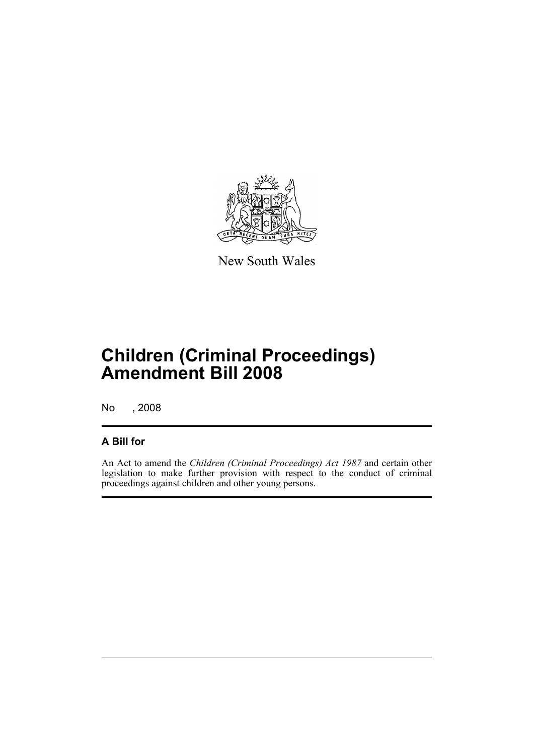

New South Wales

# **Children (Criminal Proceedings) Amendment Bill 2008**

No , 2008

# **A Bill for**

An Act to amend the *Children (Criminal Proceedings) Act 1987* and certain other legislation to make further provision with respect to the conduct of criminal proceedings against children and other young persons.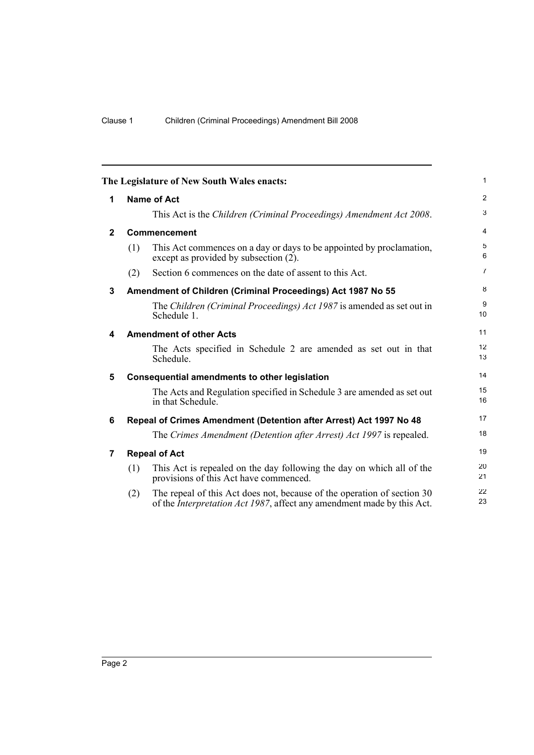<span id="page-11-6"></span><span id="page-11-5"></span><span id="page-11-4"></span><span id="page-11-3"></span><span id="page-11-2"></span><span id="page-11-1"></span><span id="page-11-0"></span>

|              |     | The Legislature of New South Wales enacts:                                                                                                                | $\mathbf{1}$   |
|--------------|-----|-----------------------------------------------------------------------------------------------------------------------------------------------------------|----------------|
| 1            |     | <b>Name of Act</b>                                                                                                                                        | 2              |
|              |     | This Act is the Children (Criminal Proceedings) Amendment Act 2008.                                                                                       | 3              |
| $\mathbf{2}$ |     | Commencement                                                                                                                                              | $\overline{4}$ |
|              | (1) | This Act commences on a day or days to be appointed by proclamation,<br>except as provided by subsection (2).                                             | 5<br>6         |
|              | (2) | Section 6 commences on the date of assent to this Act.                                                                                                    | $\overline{7}$ |
| 3            |     | Amendment of Children (Criminal Proceedings) Act 1987 No 55                                                                                               | 8              |
|              |     | The Children (Criminal Proceedings) Act 1987 is amended as set out in<br>Schedule 1.                                                                      | 9<br>10        |
| 4            |     | <b>Amendment of other Acts</b>                                                                                                                            | 11             |
|              |     | The Acts specified in Schedule 2 are amended as set out in that<br>Schedule.                                                                              | 12<br>13       |
| 5            |     | <b>Consequential amendments to other legislation</b>                                                                                                      | 14             |
|              |     | The Acts and Regulation specified in Schedule 3 are amended as set out<br>in that Schedule.                                                               | 15<br>16       |
| 6            |     | Repeal of Crimes Amendment (Detention after Arrest) Act 1997 No 48                                                                                        | 17             |
|              |     | The Crimes Amendment (Detention after Arrest) Act 1997 is repealed.                                                                                       | 18             |
| 7            |     | <b>Repeal of Act</b>                                                                                                                                      | 19             |
|              | (1) | This Act is repealed on the day following the day on which all of the<br>provisions of this Act have commenced.                                           | 20<br>21       |
|              | (2) | The repeal of this Act does not, because of the operation of section 30<br>of the <i>Interpretation Act 1987</i> , affect any amendment made by this Act. | 22<br>23       |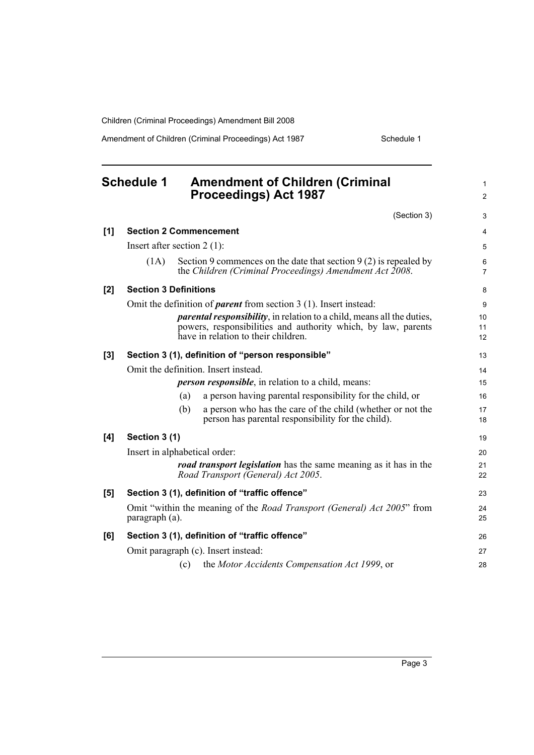Amendment of Children (Criminal Proceedings) Act 1987 Schedule 1

#### <span id="page-12-0"></span>**Schedule 1 Amendment of Children (Criminal Proceedings) Act 1987** (Section 3) **[1] Section 2 Commencement** Insert after section 2 (1): (1A) Section 9 commences on the date that section 9 (2) is repealed by the *Children (Criminal Proceedings) Amendment Act 2008*. **[2] Section 3 Definitions** Omit the definition of *parent* from section 3 (1). Insert instead: *parental responsibility*, in relation to a child, means all the duties, powers, responsibilities and authority which, by law, parents have in relation to their children. **[3] Section 3 (1), definition of "person responsible"** Omit the definition. Insert instead. *person responsible*, in relation to a child, means: (a) a person having parental responsibility for the child, or (b) a person who has the care of the child (whether or not the person has parental responsibility for the child). **[4] Section 3 (1)** Insert in alphabetical order: *road transport legislation* has the same meaning as it has in the *Road Transport (General) Act 2005*. **[5] Section 3 (1), definition of "traffic offence"** Omit "within the meaning of the *Road Transport (General) Act 2005*" from paragraph (a). **[6] Section 3 (1), definition of "traffic offence"** Omit paragraph (c). Insert instead: (c) the *Motor Accidents Compensation Act 1999*, or 1  $\mathfrak{p}$ 3 4 5 6 7 8 9 10 11 12 13 14 15 16 17 18 19  $20$ 21 22 23 24 25 26 27 28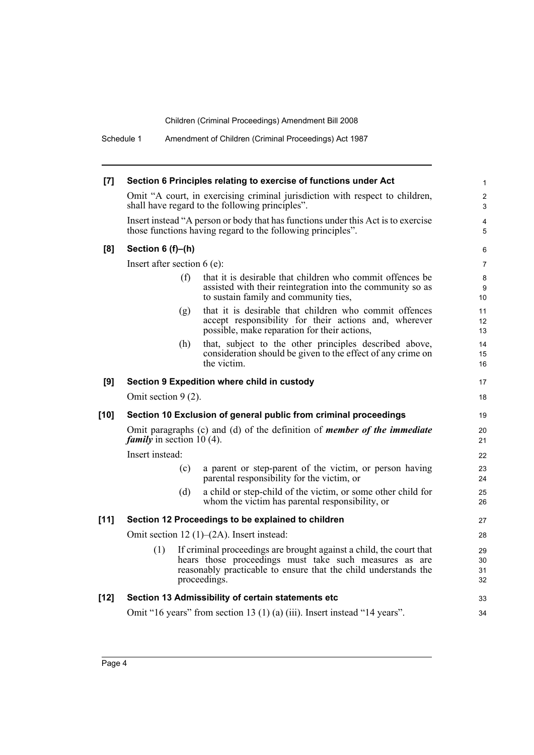| [7]    | Section 6 Principles relating to exercise of functions under Act                                                                                                                                                        | 1                            |
|--------|-------------------------------------------------------------------------------------------------------------------------------------------------------------------------------------------------------------------------|------------------------------|
|        | Omit "A court, in exercising criminal jurisdiction with respect to children,<br>shall have regard to the following principles".                                                                                         | $\overline{\mathbf{c}}$<br>3 |
|        | Insert instead "A person or body that has functions under this Act is to exercise<br>those functions having regard to the following principles".                                                                        | 4<br>5                       |
| [8]    | Section 6 (f)-(h)                                                                                                                                                                                                       | 6                            |
|        | Insert after section $6(e)$ :                                                                                                                                                                                           | 7                            |
|        | (f)<br>that it is desirable that children who commit offences be<br>assisted with their reintegration into the community so as<br>to sustain family and community ties,                                                 | 8<br>9<br>10                 |
|        | that it is desirable that children who commit offences<br>(g)<br>accept responsibility for their actions and, wherever<br>possible, make reparation for their actions,                                                  | 11<br>12<br>13               |
|        | that, subject to the other principles described above,<br>(h)<br>consideration should be given to the effect of any crime on<br>the victim.                                                                             | 14<br>15<br>16               |
| [9]    | Section 9 Expedition where child in custody                                                                                                                                                                             | 17                           |
|        | Omit section $9(2)$ .                                                                                                                                                                                                   | 18                           |
| $[10]$ | Section 10 Exclusion of general public from criminal proceedings                                                                                                                                                        | 19                           |
|        | Omit paragraphs (c) and (d) of the definition of <i>member of the immediate</i><br><i>family</i> in section 10 (4).                                                                                                     | 20<br>21                     |
|        | Insert instead:                                                                                                                                                                                                         | 22                           |
|        | (c)<br>a parent or step-parent of the victim, or person having<br>parental responsibility for the victim, or                                                                                                            | 23<br>24                     |
|        | a child or step-child of the victim, or some other child for<br>(d)<br>whom the victim has parental responsibility, or                                                                                                  | 25<br>26                     |
| $[11]$ | Section 12 Proceedings to be explained to children                                                                                                                                                                      | 27                           |
|        | Omit section 12 $(1)$ – $(2A)$ . Insert instead:                                                                                                                                                                        | 28                           |
|        | (1)<br>If criminal proceedings are brought against a child, the court that<br>hears those proceedings must take such measures as are<br>reasonably practicable to ensure that the child understands the<br>proceedings. | 29<br>30<br>31<br>32         |
| $[12]$ | Section 13 Admissibility of certain statements etc                                                                                                                                                                      | 33                           |
|        | Omit "16 years" from section 13 (1) (a) (iii). Insert instead "14 years".                                                                                                                                               | 34                           |
|        |                                                                                                                                                                                                                         |                              |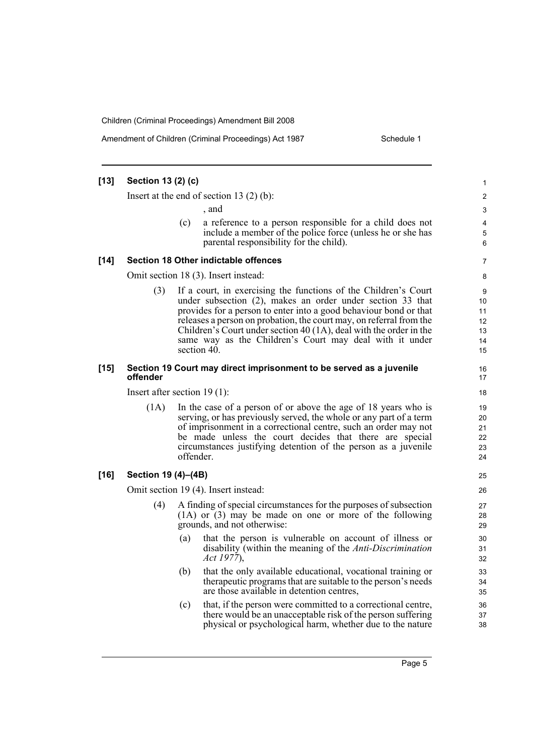Amendment of Children (Criminal Proceedings) Act 1987 Schedule 1

| [13] | Section 13 (2) (c)  |                                                                                                                                                                                                                                                                                                                                                                                                                           |  |
|------|---------------------|---------------------------------------------------------------------------------------------------------------------------------------------------------------------------------------------------------------------------------------------------------------------------------------------------------------------------------------------------------------------------------------------------------------------------|--|
|      |                     | Insert at the end of section $13(2)(b)$ :                                                                                                                                                                                                                                                                                                                                                                                 |  |
|      |                     | , and                                                                                                                                                                                                                                                                                                                                                                                                                     |  |
|      |                     | a reference to a person responsible for a child does not<br>(c)<br>include a member of the police force (unless he or she has<br>parental responsibility for the child).                                                                                                                                                                                                                                                  |  |
| [14] |                     | Section 18 Other indictable offences                                                                                                                                                                                                                                                                                                                                                                                      |  |
|      |                     | Omit section 18 (3). Insert instead:                                                                                                                                                                                                                                                                                                                                                                                      |  |
|      | (3)                 | If a court, in exercising the functions of the Children's Court<br>under subsection (2), makes an order under section 33 that<br>provides for a person to enter into a good behaviour bond or that<br>releases a person on probation, the court may, on referral from the<br>Children's Court under section 40 (1A), deal with the order in the<br>same way as the Children's Court may deal with it under<br>section 40. |  |
| [15] | offender            | Section 19 Court may direct imprisonment to be served as a juvenile                                                                                                                                                                                                                                                                                                                                                       |  |
|      |                     | Insert after section $19(1)$ :                                                                                                                                                                                                                                                                                                                                                                                            |  |
|      | (1A)                | In the case of a person of or above the age of 18 years who is<br>serving, or has previously served, the whole or any part of a term<br>of imprisonment in a correctional centre, such an order may not<br>be made unless the court decides that there are special<br>circumstances justifying detention of the person as a juvenile<br>offender.                                                                         |  |
| [16] | Section 19 (4)–(4B) |                                                                                                                                                                                                                                                                                                                                                                                                                           |  |
|      |                     | Omit section 19 (4). Insert instead:                                                                                                                                                                                                                                                                                                                                                                                      |  |
|      | (4)                 | A finding of special circumstances for the purposes of subsection<br>$(1A)$ or $(3)$ may be made on one or more of the following<br>grounds, and not otherwise:                                                                                                                                                                                                                                                           |  |
|      |                     | that the person is vulnerable on account of illness or<br>(a)<br>disability (within the meaning of the <i>Anti-Discrimination</i><br>Act 1977).                                                                                                                                                                                                                                                                           |  |
|      |                     | (b)<br>that the only available educational, vocational training or<br>therapeutic programs that are suitable to the person's needs<br>are those available in detention centres,                                                                                                                                                                                                                                           |  |
|      |                     | that, if the person were committed to a correctional centre,<br>(c)<br>there would be an unacceptable risk of the person suffering<br>physical or psychological harm, whether due to the nature                                                                                                                                                                                                                           |  |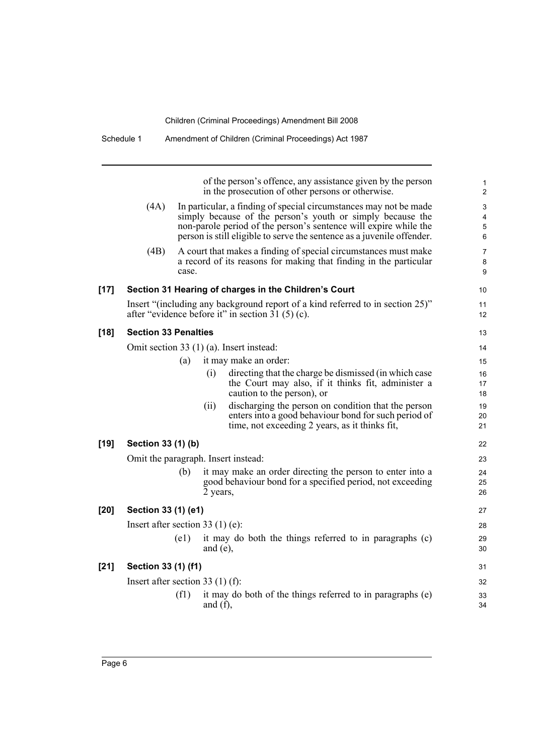|        |                                    |                    | of the person's offence, any assistance given by the person                                                                                                                                                                                                                   | 1<br>$\overline{2}$ |
|--------|------------------------------------|--------------------|-------------------------------------------------------------------------------------------------------------------------------------------------------------------------------------------------------------------------------------------------------------------------------|---------------------|
|        |                                    |                    | in the prosecution of other persons or otherwise.                                                                                                                                                                                                                             |                     |
|        | (4A)                               |                    | In particular, a finding of special circumstances may not be made<br>simply because of the person's youth or simply because the<br>non-parole period of the person's sentence will expire while the<br>person is still eligible to serve the sentence as a juvenile offender. |                     |
|        | (4B)                               | case.              | A court that makes a finding of special circumstances must make<br>a record of its reasons for making that finding in the particular                                                                                                                                          | 8                   |
| $[17]$ |                                    |                    | Section 31 Hearing of charges in the Children's Court                                                                                                                                                                                                                         | 10                  |
|        |                                    |                    | Insert "(including any background report of a kind referred to in section 25)"<br>after "evidence before it" in section 31 (5) (c).                                                                                                                                           | 11<br>12            |
| $[18]$ | <b>Section 33 Penalties</b>        |                    |                                                                                                                                                                                                                                                                               | 13                  |
|        |                                    |                    | Omit section 33 $(1)$ (a). Insert instead:                                                                                                                                                                                                                                    | 14                  |
|        |                                    | (a)                | it may make an order:                                                                                                                                                                                                                                                         | 15                  |
|        |                                    |                    | (i)<br>directing that the charge be dismissed (in which case<br>the Court may also, if it thinks fit, administer a<br>caution to the person), or                                                                                                                              | 16<br>17<br>18      |
|        |                                    |                    | discharging the person on condition that the person<br>(ii)<br>enters into a good behaviour bond for such period of<br>time, not exceeding 2 years, as it thinks fit,                                                                                                         | 19<br>20<br>21      |
| $[19]$ | Section 33 (1) (b)                 |                    |                                                                                                                                                                                                                                                                               | 22                  |
|        |                                    |                    | Omit the paragraph. Insert instead:                                                                                                                                                                                                                                           | 23                  |
|        |                                    | (b)                | it may make an order directing the person to enter into a<br>good behaviour bond for a specified period, not exceeding<br>2 years,                                                                                                                                            | 24<br>25<br>26      |
| $[20]$ | Section 33 (1) (e1)                |                    |                                                                                                                                                                                                                                                                               | 27                  |
|        | Insert after section 33 $(1)$ (e): |                    |                                                                                                                                                                                                                                                                               | 28                  |
|        |                                    | $\left( e1\right)$ | it may do both the things referred to in paragraphs (c)<br>and (e),                                                                                                                                                                                                           | 29<br>30            |
| $[21]$ | Section 33 (1) (f1)                |                    |                                                                                                                                                                                                                                                                               | 31                  |
|        | Insert after section 33 $(1)$ (f): |                    |                                                                                                                                                                                                                                                                               | 32                  |
|        |                                    | (f1)               | it may do both of the things referred to in paragraphs (e)<br>and $(f)$ ,                                                                                                                                                                                                     | 33<br>34            |

Schedule 1 Amendment of Children (Criminal Proceedings) Act 1987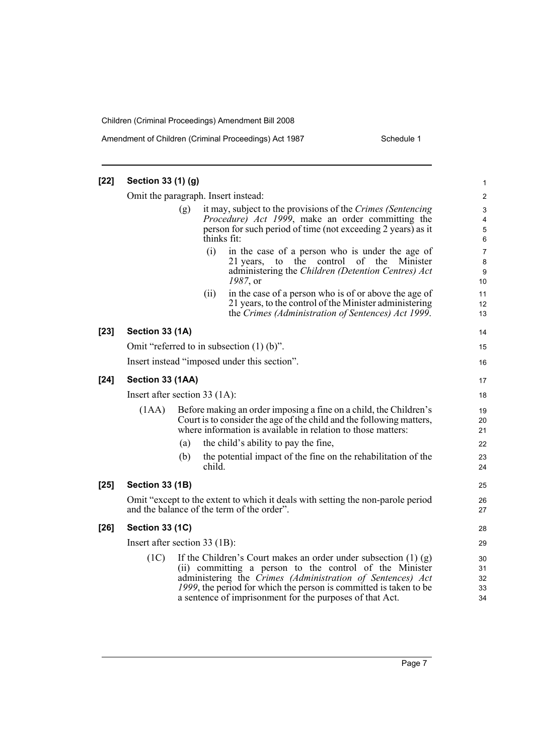| $[22]$ | Section 33 (1) (g)                  |     |             |                                                                                                                                                                                                                                                                                                                               | 1                          |
|--------|-------------------------------------|-----|-------------|-------------------------------------------------------------------------------------------------------------------------------------------------------------------------------------------------------------------------------------------------------------------------------------------------------------------------------|----------------------------|
|        | Omit the paragraph. Insert instead: |     |             |                                                                                                                                                                                                                                                                                                                               | $\overline{\mathbf{c}}$    |
|        |                                     | (g) | thinks fit: | it may, subject to the provisions of the Crimes (Sentencing)<br><i>Procedure) Act 1999</i> , make an order committing the<br>person for such period of time (not exceeding 2 years) as it                                                                                                                                     | 3<br>4<br>5<br>6           |
|        |                                     |     | (i)         | in the case of a person who is under the age of<br>control of the Minister<br>21 years,<br>to the<br>administering the Children (Detention Centres) Act<br>1987, or                                                                                                                                                           | 7<br>8<br>9<br>10          |
|        |                                     |     | (ii)        | in the case of a person who is of or above the age of<br>21 years, to the control of the Minister administering<br>the Crimes (Administration of Sentences) Act 1999.                                                                                                                                                         | 11<br>12<br>13             |
| $[23]$ | Section 33 (1A)                     |     |             |                                                                                                                                                                                                                                                                                                                               | 14                         |
|        |                                     |     |             | Omit "referred to in subsection $(1)$ (b)".                                                                                                                                                                                                                                                                                   | 15                         |
|        |                                     |     |             | Insert instead "imposed under this section".                                                                                                                                                                                                                                                                                  | 16                         |
| $[24]$ | Section 33 (1AA)                    |     |             |                                                                                                                                                                                                                                                                                                                               | 17                         |
|        | Insert after section 33 (1A):       |     |             |                                                                                                                                                                                                                                                                                                                               | 18                         |
|        | (1AA)                               |     |             | Before making an order imposing a fine on a child, the Children's<br>Court is to consider the age of the child and the following matters,<br>where information is available in relation to those matters:                                                                                                                     | 19<br>20<br>21             |
|        |                                     | (a) |             | the child's ability to pay the fine,                                                                                                                                                                                                                                                                                          | 22                         |
|        |                                     | (b) | child.      | the potential impact of the fine on the rehabilitation of the                                                                                                                                                                                                                                                                 | 23<br>24                   |
| $[25]$ | <b>Section 33 (1B)</b>              |     |             |                                                                                                                                                                                                                                                                                                                               | 25                         |
|        |                                     |     |             | Omit "except to the extent to which it deals with setting the non-parole period<br>and the balance of the term of the order".                                                                                                                                                                                                 | 26<br>27                   |
| $[26]$ | <b>Section 33 (1C)</b>              |     |             |                                                                                                                                                                                                                                                                                                                               | 28                         |
|        | Insert after section 33 (1B):       |     |             |                                                                                                                                                                                                                                                                                                                               | 29                         |
|        | (1C)                                |     |             | If the Children's Court makes an order under subsection $(1)$ $(g)$<br>(ii) committing a person to the control of the Minister<br>administering the Crimes (Administration of Sentences) Act<br>1999, the period for which the person is committed is taken to be<br>a sentence of imprisonment for the purposes of that Act. | 30<br>31<br>32<br>33<br>34 |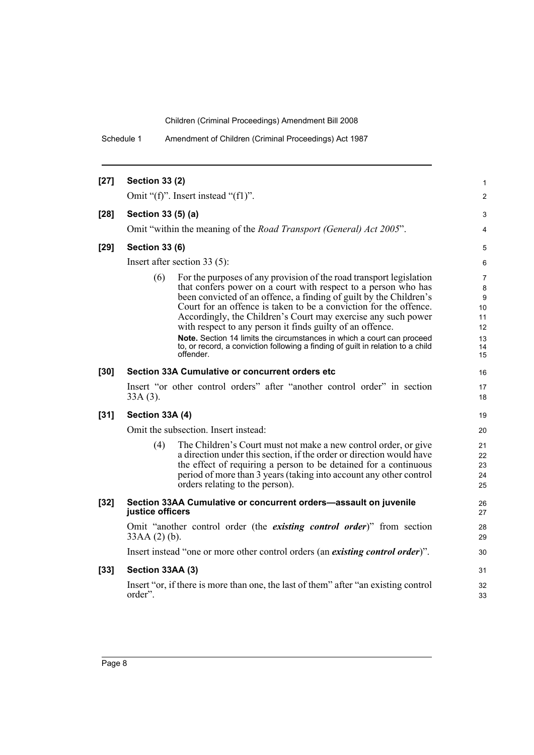Schedule 1 Amendment of Children (Criminal Proceedings) Act 1987

| $[27]$ | <b>Section 33 (2)</b>                                                                                                                                                                                                                                                                                                                                                                                                                                                                                                                                                                           | 1                                                                    |
|--------|-------------------------------------------------------------------------------------------------------------------------------------------------------------------------------------------------------------------------------------------------------------------------------------------------------------------------------------------------------------------------------------------------------------------------------------------------------------------------------------------------------------------------------------------------------------------------------------------------|----------------------------------------------------------------------|
|        | Omit " $(f)$ ". Insert instead " $(f1)$ ".                                                                                                                                                                                                                                                                                                                                                                                                                                                                                                                                                      | $\overline{2}$                                                       |
| $[28]$ | Section 33 (5) (a)                                                                                                                                                                                                                                                                                                                                                                                                                                                                                                                                                                              | 3                                                                    |
|        | Omit "within the meaning of the Road Transport (General) Act 2005".                                                                                                                                                                                                                                                                                                                                                                                                                                                                                                                             | 4                                                                    |
| $[29]$ | <b>Section 33 (6)</b>                                                                                                                                                                                                                                                                                                                                                                                                                                                                                                                                                                           | 5                                                                    |
|        | Insert after section $33(5)$ :                                                                                                                                                                                                                                                                                                                                                                                                                                                                                                                                                                  | 6                                                                    |
|        | For the purposes of any provision of the road transport legislation<br>(6)<br>that confers power on a court with respect to a person who has<br>been convicted of an offence, a finding of guilt by the Children's<br>Court for an offence is taken to be a conviction for the offence.<br>Accordingly, the Children's Court may exercise any such power<br>with respect to any person it finds guilty of an offence.<br>Note. Section 14 limits the circumstances in which a court can proceed<br>to, or record, a conviction following a finding of guilt in relation to a child<br>offender. | 7<br>$\bf 8$<br>$\boldsymbol{9}$<br>10<br>11<br>12<br>13<br>14<br>15 |
| $[30]$ | Section 33A Cumulative or concurrent orders etc                                                                                                                                                                                                                                                                                                                                                                                                                                                                                                                                                 | 16                                                                   |
|        | Insert "or other control orders" after "another control order" in section<br>$33A(3)$ .                                                                                                                                                                                                                                                                                                                                                                                                                                                                                                         | 17<br>18                                                             |
| $[31]$ | Section 33A (4)                                                                                                                                                                                                                                                                                                                                                                                                                                                                                                                                                                                 | 19                                                                   |
|        | Omit the subsection. Insert instead:                                                                                                                                                                                                                                                                                                                                                                                                                                                                                                                                                            | 20                                                                   |
|        | The Children's Court must not make a new control order, or give<br>(4)<br>a direction under this section, if the order or direction would have<br>the effect of requiring a person to be detained for a continuous<br>period of more than 3 years (taking into account any other control<br>orders relating to the person).                                                                                                                                                                                                                                                                     | 21<br>22<br>23<br>24<br>25                                           |
| $[32]$ | Section 33AA Cumulative or concurrent orders-assault on juvenile<br>justice officers                                                                                                                                                                                                                                                                                                                                                                                                                                                                                                            | 26<br>27                                                             |
|        | Omit "another control order (the <i>existing control order</i> )" from section<br>$33AA(2)$ (b).                                                                                                                                                                                                                                                                                                                                                                                                                                                                                                | 28<br>29                                                             |
|        | Insert instead "one or more other control orders (an existing control order)".                                                                                                                                                                                                                                                                                                                                                                                                                                                                                                                  | 30                                                                   |
| $[33]$ | Section 33AA (3)                                                                                                                                                                                                                                                                                                                                                                                                                                                                                                                                                                                | 31                                                                   |
|        | Insert "or, if there is more than one, the last of them" after "an existing control<br>order".                                                                                                                                                                                                                                                                                                                                                                                                                                                                                                  | 32<br>33                                                             |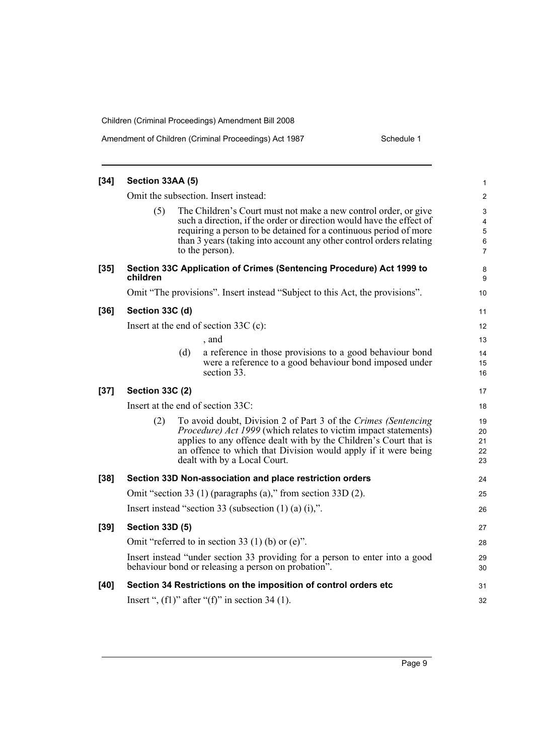| $[34]$ | Section 33AA (5)       |     |                                                                                                                                                                                                                                                                                                          | 1                          |
|--------|------------------------|-----|----------------------------------------------------------------------------------------------------------------------------------------------------------------------------------------------------------------------------------------------------------------------------------------------------------|----------------------------|
|        |                        |     | Omit the subsection. Insert instead:                                                                                                                                                                                                                                                                     | $\overline{\mathbf{c}}$    |
|        | (5)                    |     | The Children's Court must not make a new control order, or give<br>such a direction, if the order or direction would have the effect of<br>requiring a person to be detained for a continuous period of more<br>than 3 years (taking into account any other control orders relating<br>to the person).   | 3<br>4<br>5<br>6<br>7      |
| $[35]$ | children               |     | Section 33C Application of Crimes (Sentencing Procedure) Act 1999 to                                                                                                                                                                                                                                     | 8<br>9                     |
|        |                        |     | Omit "The provisions". Insert instead "Subject to this Act, the provisions".                                                                                                                                                                                                                             | 10                         |
| $[36]$ | Section 33C (d)        |     |                                                                                                                                                                                                                                                                                                          | 11                         |
|        |                        |     | Insert at the end of section $33C$ (c):                                                                                                                                                                                                                                                                  | 12                         |
|        |                        |     | , and                                                                                                                                                                                                                                                                                                    | 13                         |
|        |                        | (d) | a reference in those provisions to a good behaviour bond<br>were a reference to a good behaviour bond imposed under<br>section 33.                                                                                                                                                                       | 14<br>15<br>16             |
| $[37]$ | <b>Section 33C (2)</b> |     |                                                                                                                                                                                                                                                                                                          | 17                         |
|        |                        |     | Insert at the end of section 33C:                                                                                                                                                                                                                                                                        | 18                         |
|        | (2)                    |     | To avoid doubt, Division 2 of Part 3 of the Crimes (Sentencing<br>Procedure) Act 1999 (which relates to victim impact statements)<br>applies to any offence dealt with by the Children's Court that is<br>an offence to which that Division would apply if it were being<br>dealt with by a Local Court. | 19<br>20<br>21<br>22<br>23 |
| $[38]$ |                        |     | Section 33D Non-association and place restriction orders                                                                                                                                                                                                                                                 | 24                         |
|        |                        |     | Omit "section 33 (1) (paragraphs (a)," from section 33D (2).                                                                                                                                                                                                                                             | 25                         |
|        |                        |     | Insert instead "section 33 (subsection $(1)$ $(a)$ $(i)$ ,".                                                                                                                                                                                                                                             | 26                         |
| $[39]$ | <b>Section 33D (5)</b> |     |                                                                                                                                                                                                                                                                                                          | 27                         |
|        |                        |     | Omit "referred to in section 33 (1) (b) or (e)".                                                                                                                                                                                                                                                         | 28                         |
|        |                        |     | Insert instead "under section 33 providing for a person to enter into a good<br>behaviour bond or releasing a person on probation".                                                                                                                                                                      | 29<br>30                   |
| $[40]$ |                        |     | Section 34 Restrictions on the imposition of control orders etc                                                                                                                                                                                                                                          | 31                         |
|        |                        |     | Insert ", $(f1)$ " after " $(f)$ " in section 34 (1).                                                                                                                                                                                                                                                    | 32                         |
|        |                        |     |                                                                                                                                                                                                                                                                                                          |                            |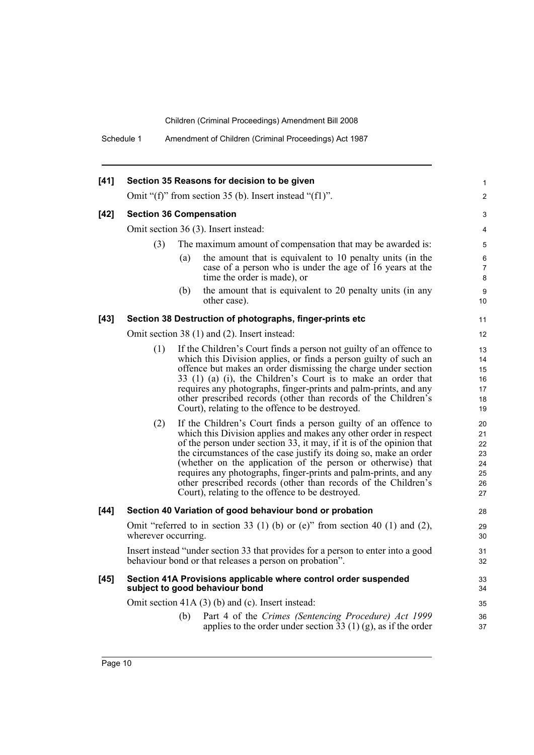Schedule 1 Amendment of Children (Criminal Proceedings) Act 1987

| $[41]$ |                                |     | Section 35 Reasons for decision to be given                                                                                                                                                                                                                                                                                                                                                                                                                                                                                               | 1                                                |
|--------|--------------------------------|-----|-------------------------------------------------------------------------------------------------------------------------------------------------------------------------------------------------------------------------------------------------------------------------------------------------------------------------------------------------------------------------------------------------------------------------------------------------------------------------------------------------------------------------------------------|--------------------------------------------------|
|        |                                |     | Omit " $(f)$ " from section 35 (b). Insert instead " $(f1)$ ".                                                                                                                                                                                                                                                                                                                                                                                                                                                                            | $\overline{2}$                                   |
| $[42]$ | <b>Section 36 Compensation</b> |     |                                                                                                                                                                                                                                                                                                                                                                                                                                                                                                                                           | 3                                                |
|        |                                |     | Omit section 36 (3). Insert instead:                                                                                                                                                                                                                                                                                                                                                                                                                                                                                                      | 4                                                |
|        | (3)                            |     | The maximum amount of compensation that may be awarded is:                                                                                                                                                                                                                                                                                                                                                                                                                                                                                | 5                                                |
|        |                                | (a) | the amount that is equivalent to 10 penalty units (in the<br>case of a person who is under the age of 16 years at the<br>time the order is made), or                                                                                                                                                                                                                                                                                                                                                                                      | 6<br>$\overline{7}$<br>8                         |
|        |                                | (b) | the amount that is equivalent to 20 penalty units (in any<br>other case).                                                                                                                                                                                                                                                                                                                                                                                                                                                                 | 9<br>10                                          |
| $[43]$ |                                |     | Section 38 Destruction of photographs, finger-prints etc                                                                                                                                                                                                                                                                                                                                                                                                                                                                                  | 11                                               |
|        |                                |     | Omit section 38 (1) and (2). Insert instead:                                                                                                                                                                                                                                                                                                                                                                                                                                                                                              | 12                                               |
|        | (1)                            |     | If the Children's Court finds a person not guilty of an offence to<br>which this Division applies, or finds a person guilty of such an<br>offence but makes an order dismissing the charge under section<br>33 (1) (a) (i), the Children's Court is to make an order that<br>requires any photographs, finger-prints and palm-prints, and any<br>other prescribed records (other than records of the Children's<br>Court), relating to the offence to be destroyed.                                                                       | 13<br>14<br>15<br>16<br>17<br>18<br>19           |
|        | (2)                            |     | If the Children's Court finds a person guilty of an offence to<br>which this Division applies and makes any other order in respect<br>of the person under section 33, it may, if it is of the opinion that<br>the circumstances of the case justify its doing so, make an order<br>(whether on the application of the person or otherwise) that<br>requires any photographs, finger-prints and palm-prints, and any<br>other prescribed records (other than records of the Children's<br>Court), relating to the offence to be destroyed. | 20<br>21<br>22<br>23<br>24<br>25<br>$26\,$<br>27 |
| $[44]$ |                                |     | Section 40 Variation of good behaviour bond or probation                                                                                                                                                                                                                                                                                                                                                                                                                                                                                  | 28                                               |
|        | wherever occurring.            |     | Omit "referred to in section 33 (1) (b) or (e)" from section 40 (1) and (2),                                                                                                                                                                                                                                                                                                                                                                                                                                                              | 29<br>30                                         |
|        |                                |     | Insert instead "under section 33 that provides for a person to enter into a good<br>behaviour bond or that releases a person on probation".                                                                                                                                                                                                                                                                                                                                                                                               | 31<br>32                                         |
| $[45]$ |                                |     | Section 41A Provisions applicable where control order suspended<br>subject to good behaviour bond                                                                                                                                                                                                                                                                                                                                                                                                                                         | 33<br>34                                         |
|        |                                |     | Omit section $41A(3)$ (b) and (c). Insert instead:                                                                                                                                                                                                                                                                                                                                                                                                                                                                                        | 35                                               |
|        |                                | (b) | Part 4 of the Crimes (Sentencing Procedure) Act 1999<br>applies to the order under section $33(1)(g)$ , as if the order                                                                                                                                                                                                                                                                                                                                                                                                                   | 36<br>37                                         |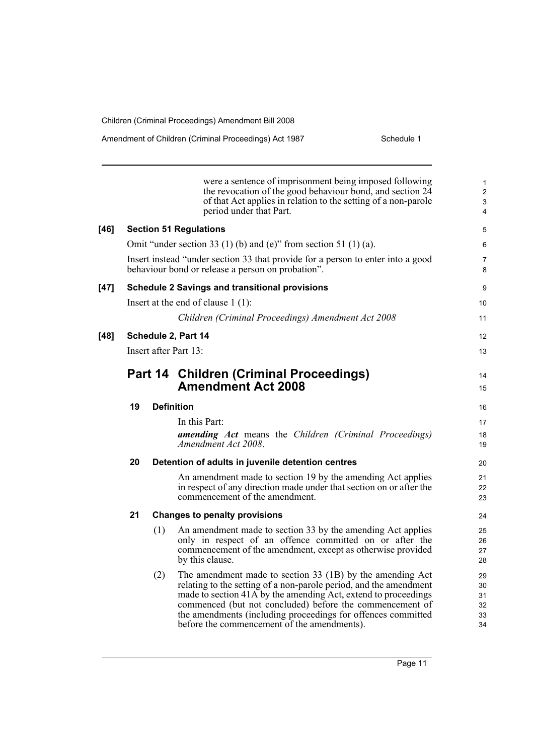| Amendment of Children (Criminal Proceedings) Act 1987 | Schedule 1 |
|-------------------------------------------------------|------------|
|-------------------------------------------------------|------------|

|      |    |     | were a sentence of imprisonment being imposed following<br>the revocation of the good behaviour bond, and section 24<br>of that Act applies in relation to the setting of a non-parole<br>period under that Part.                                                                                                                                                           | $\mathbf{1}$<br>$\overline{2}$<br>3<br>$\overline{\mathbf{4}}$ |
|------|----|-----|-----------------------------------------------------------------------------------------------------------------------------------------------------------------------------------------------------------------------------------------------------------------------------------------------------------------------------------------------------------------------------|----------------------------------------------------------------|
| [46] |    |     | <b>Section 51 Regulations</b>                                                                                                                                                                                                                                                                                                                                               | 5                                                              |
|      |    |     | Omit "under section 33 (1) (b) and (e)" from section 51 (1) (a).                                                                                                                                                                                                                                                                                                            | 6                                                              |
|      |    |     | Insert instead "under section 33 that provide for a person to enter into a good<br>behaviour bond or release a person on probation".                                                                                                                                                                                                                                        | $\overline{7}$<br>8                                            |
| [47] |    |     | <b>Schedule 2 Savings and transitional provisions</b>                                                                                                                                                                                                                                                                                                                       | 9                                                              |
|      |    |     | Insert at the end of clause $1(1)$ :                                                                                                                                                                                                                                                                                                                                        | 10                                                             |
|      |    |     | Children (Criminal Proceedings) Amendment Act 2008                                                                                                                                                                                                                                                                                                                          | 11                                                             |
| [48] |    |     | Schedule 2, Part 14                                                                                                                                                                                                                                                                                                                                                         | 12                                                             |
|      |    |     | Insert after Part 13:                                                                                                                                                                                                                                                                                                                                                       | 13                                                             |
|      |    |     | Part 14 Children (Criminal Proceedings)<br><b>Amendment Act 2008</b>                                                                                                                                                                                                                                                                                                        | 14<br>15                                                       |
|      | 19 |     | <b>Definition</b>                                                                                                                                                                                                                                                                                                                                                           | 16                                                             |
|      |    |     | In this Part:                                                                                                                                                                                                                                                                                                                                                               | 17                                                             |
|      |    |     | <b>amending Act</b> means the Children (Criminal Proceedings)<br>Amendment Act 2008.                                                                                                                                                                                                                                                                                        | 18<br>19                                                       |
|      | 20 |     | Detention of adults in juvenile detention centres                                                                                                                                                                                                                                                                                                                           | 20                                                             |
|      |    |     | An amendment made to section 19 by the amending Act applies<br>in respect of any direction made under that section on or after the<br>commencement of the amendment.                                                                                                                                                                                                        | 21<br>22<br>23                                                 |
|      | 21 |     | <b>Changes to penalty provisions</b>                                                                                                                                                                                                                                                                                                                                        | 24                                                             |
|      |    | (1) | An amendment made to section 33 by the amending Act applies<br>only in respect of an offence committed on or after the<br>commencement of the amendment, except as otherwise provided<br>by this clause.                                                                                                                                                                    | 25<br>26<br>27<br>28                                           |
|      |    | (2) | The amendment made to section 33 (1B) by the amending Act<br>relating to the setting of a non-parole period, and the amendment<br>made to section 41A by the amending Act, extend to proceedings<br>commenced (but not concluded) before the commencement of<br>the amendments (including proceedings for offences committed<br>before the commencement of the amendments). | 29<br>30<br>31<br>32<br>33<br>34                               |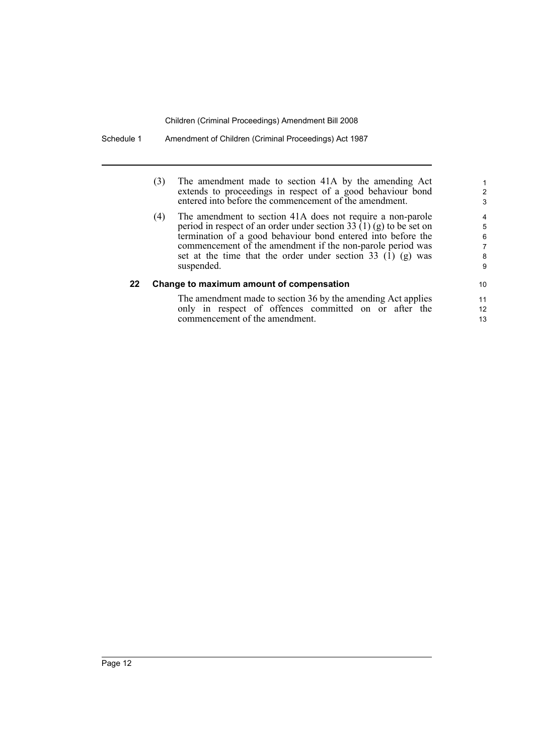| (3) | The amendment made to section 41A by the amending Act                                                                |
|-----|----------------------------------------------------------------------------------------------------------------------|
|     | extends to proceedings in respect of a good behaviour bond<br>entered into before the commencement of the amendment. |
|     |                                                                                                                      |

(4) The amendment to section 41A does not require a non-parole period in respect of an order under section 33  $(1)$  (g) to be set on termination of a good behaviour bond entered into before the commencement of the amendment if the non-parole period was set at the time that the order under section 33  $(1)$  (g) was suspended.

### **22 Change to maximum amount of compensation**

The amendment made to section 36 by the amending Act applies only in respect of offences committed on or after the commencement of the amendment.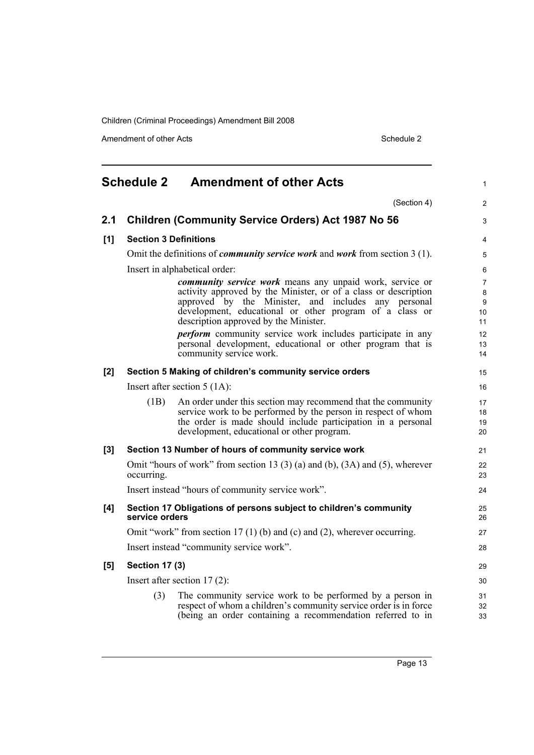Amendment of other Acts Schedule 2

<span id="page-22-0"></span>

| <b>Schedule 2 Amendment of other Acts</b> |                                | $\mathbf{1}$                                                                                                           |                |
|-------------------------------------------|--------------------------------|------------------------------------------------------------------------------------------------------------------------|----------------|
|                                           |                                | (Section 4)                                                                                                            | 2              |
| 2.1                                       |                                | <b>Children (Community Service Orders) Act 1987 No 56</b>                                                              | 3              |
| [1]                                       | <b>Section 3 Definitions</b>   |                                                                                                                        | $\overline{4}$ |
|                                           |                                | Omit the definitions of <i>community service work</i> and <i>work</i> from section 3 (1).                              | 5              |
|                                           |                                | Insert in alphabetical order:                                                                                          | 6              |
|                                           |                                | community service work means any unpaid work, service or                                                               | $\overline{7}$ |
|                                           |                                | activity approved by the Minister, or of a class or description<br>approved by the Minister, and includes any personal | 8<br>9         |
|                                           |                                | development, educational or other program of a class or                                                                | 10             |
|                                           |                                | description approved by the Minister.                                                                                  | 11             |
|                                           |                                | <i>perform</i> community service work includes participate in any                                                      | 12             |
|                                           |                                | personal development, educational or other program that is<br>community service work.                                  | 13<br>14       |
| [2]                                       |                                | Section 5 Making of children's community service orders                                                                | 15             |
|                                           |                                | Insert after section $5(1A)$ :                                                                                         | 16             |
|                                           | (1B)                           | An order under this section may recommend that the community                                                           | 17             |
|                                           |                                | service work to be performed by the person in respect of whom                                                          | 18             |
|                                           |                                | the order is made should include participation in a personal<br>development, educational or other program.             | 19<br>20       |
| [3]                                       |                                | Section 13 Number of hours of community service work                                                                   | 21             |
|                                           |                                | Omit "hours of work" from section 13 (3) (a) and (b), $(3A)$ and $(5)$ , wherever                                      | 22             |
|                                           | occurring.                     |                                                                                                                        | 23             |
|                                           |                                | Insert instead "hours of community service work".                                                                      | 24             |
| [4]                                       | service orders                 | Section 17 Obligations of persons subject to children's community                                                      | 25<br>26       |
|                                           |                                | Omit "work" from section 17(1)(b) and (c) and (2), wherever occurring.                                                 | 27             |
|                                           |                                | Insert instead "community service work".                                                                               | 28             |
| [5]                                       | <b>Section 17 (3)</b>          |                                                                                                                        | 29             |
|                                           | Insert after section $17(2)$ : |                                                                                                                        | 30             |
|                                           | (3)                            | The community service work to be performed by a person in                                                              | 31             |
|                                           |                                | respect of whom a children's community service order is in force                                                       | 32             |
|                                           |                                | (being an order containing a recommendation referred to in                                                             | 33             |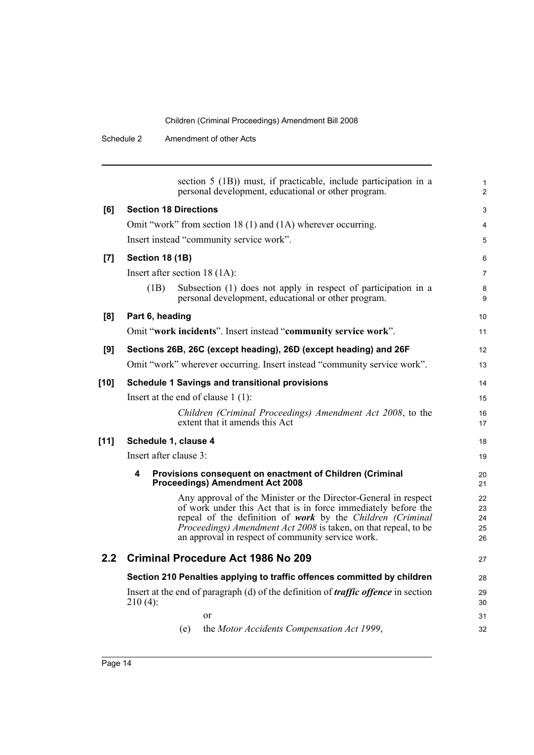Schedule 2 Amendment of other Acts

|                  | section 5 (1B)) must, if practicable, include participation in a<br>personal development, educational or other program.       | $\mathbf{1}$<br>2 |  |  |  |
|------------------|-------------------------------------------------------------------------------------------------------------------------------|-------------------|--|--|--|
| [6]              | <b>Section 18 Directions</b>                                                                                                  | 3                 |  |  |  |
|                  | Omit "work" from section 18 (1) and (1A) wherever occurring.                                                                  | 4                 |  |  |  |
|                  | Insert instead "community service work".                                                                                      | 5                 |  |  |  |
| [7]              | Section 18 (1B)                                                                                                               | 6                 |  |  |  |
|                  | Insert after section 18 (1A):                                                                                                 | $\overline{7}$    |  |  |  |
|                  | Subsection (1) does not apply in respect of participation in a<br>(1B)<br>personal development, educational or other program. | 8<br>9            |  |  |  |
| [8]              | Part 6, heading                                                                                                               | 10                |  |  |  |
|                  | Omit "work incidents". Insert instead "community service work".                                                               | 11                |  |  |  |
| [9]              | Sections 26B, 26C (except heading), 26D (except heading) and 26F                                                              | 12                |  |  |  |
|                  | Omit "work" wherever occurring. Insert instead "community service work".                                                      | 13                |  |  |  |
| $[10]$           | <b>Schedule 1 Savings and transitional provisions</b>                                                                         | 14                |  |  |  |
|                  | Insert at the end of clause $1(1)$ :                                                                                          | 15                |  |  |  |
|                  | Children (Criminal Proceedings) Amendment Act 2008, to the<br>extent that it amends this Act                                  | 16<br>17          |  |  |  |
| [11]             | Schedule 1, clause 4                                                                                                          |                   |  |  |  |
|                  | Insert after clause 3:                                                                                                        |                   |  |  |  |
|                  | 4<br>Provisions consequent on enactment of Children (Criminal<br><b>Proceedings) Amendment Act 2008</b>                       | 20<br>21          |  |  |  |
|                  | Any approval of the Minister or the Director-General in respect                                                               | 22                |  |  |  |
|                  | of work under this Act that is in force immediately before the<br>repeal of the definition of work by the Children (Criminal  | 23<br>24          |  |  |  |
|                  | <i>Proceedings) Amendment Act 2008</i> is taken, on that repeal, to be                                                        | 25                |  |  |  |
|                  | an approval in respect of community service work.                                                                             | 26                |  |  |  |
| 2.2 <sub>2</sub> | <b>Criminal Procedure Act 1986 No 209</b>                                                                                     | 27                |  |  |  |
|                  | Section 210 Penalties applying to traffic offences committed by children                                                      | 28                |  |  |  |
|                  | Insert at the end of paragraph (d) of the definition of <i>traffic offence</i> in section                                     |                   |  |  |  |
|                  | $210(4)$ :                                                                                                                    | 30                |  |  |  |
|                  | or                                                                                                                            | 31                |  |  |  |
|                  | the Motor Accidents Compensation Act 1999,<br>(e)                                                                             | 32                |  |  |  |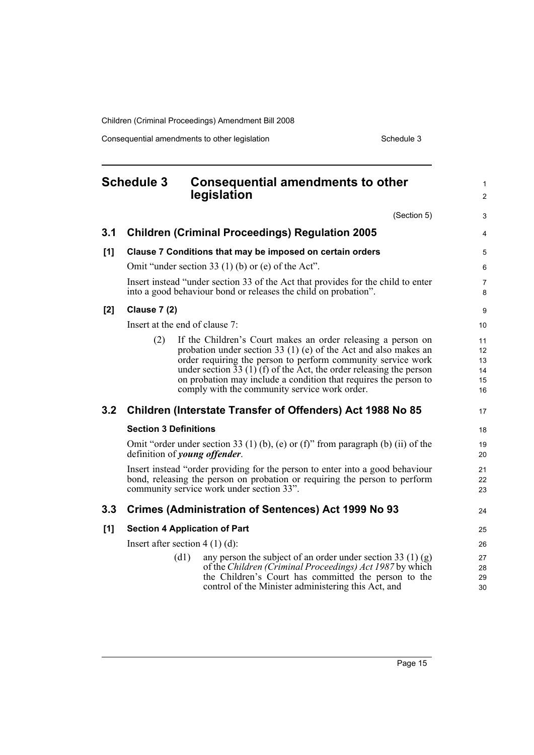Consequential amendments to other legislation Schedule 3 Schedule 3

#### <span id="page-24-0"></span>**Schedule 3 Consequential amendments to other legislation** (Section 5) **3.1 Children (Criminal Proceedings) Regulation 2005 [1] Clause 7 Conditions that may be imposed on certain orders** Omit "under section 33 (1) (b) or (e) of the Act". Insert instead "under section 33 of the Act that provides for the child to enter into a good behaviour bond or releases the child on probation". **[2] Clause 7 (2)** Insert at the end of clause 7: (2) If the Children's Court makes an order releasing a person on probation under section 33 (1) (e) of the Act and also makes an order requiring the person to perform community service work under section  $33(1)(f)$  of the Act, the order releasing the person on probation may include a condition that requires the person to comply with the community service work order. **3.2 Children (Interstate Transfer of Offenders) Act 1988 No 85 Section 3 Definitions** Omit "order under section 33 (1) (b), (e) or (f)" from paragraph (b) (ii) of the definition of *young offender*. Insert instead "order providing for the person to enter into a good behaviour bond, releasing the person on probation or requiring the person to perform community service work under section 33". **3.3 Crimes (Administration of Sentences) Act 1999 No 93 [1] Section 4 Application of Part** Insert after section 4 (1) (d): (d1) any person the subject of an order under section 33 (1) (g) of the *Children (Criminal Proceedings) Act 1987* by which the Children's Court has committed the person to the control of the Minister administering this Act, and 1  $\mathfrak{p}$ 3 4 5 6 7 8 9 10 11 12 13 14 15 16 17 18 19  $20$ 21  $22$ 23 24 25 26 27  $28$  $29$ 30